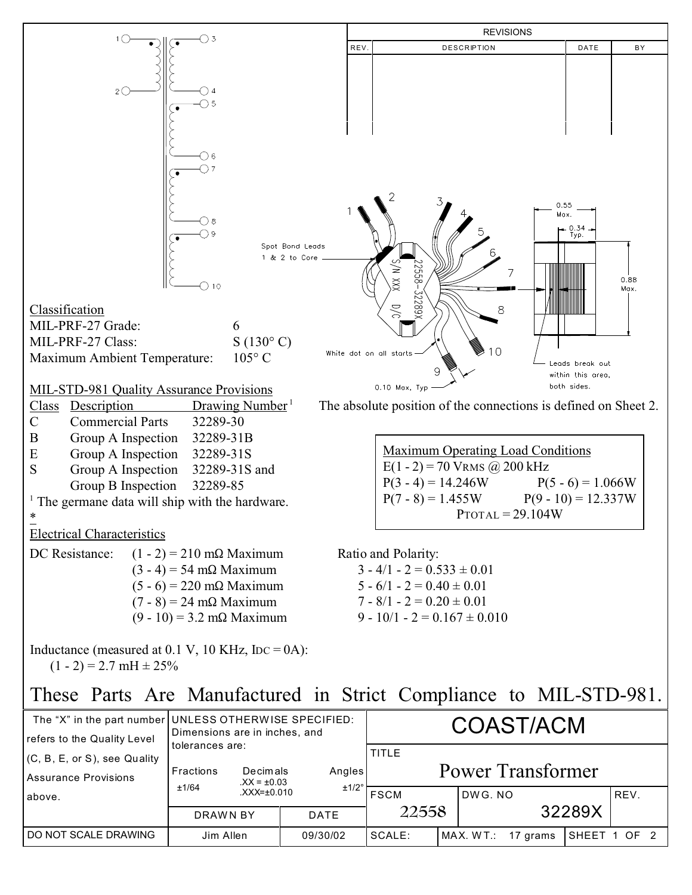

DO NOT SCALE DRAWING Jim Allen 09/30/02 SCALE: MAX. W T.: 17 grams SHEET 1 OF 2